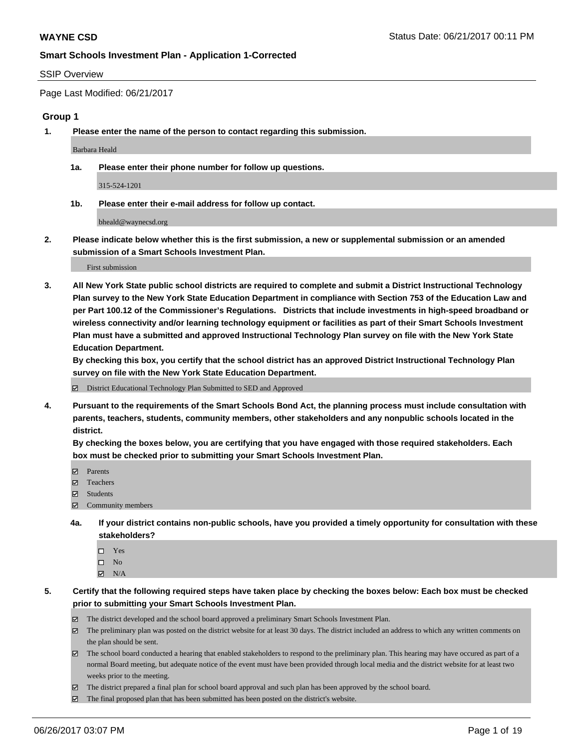#### SSIP Overview

Page Last Modified: 06/21/2017

### **Group 1**

**1. Please enter the name of the person to contact regarding this submission.**

Barbara Heald

**1a. Please enter their phone number for follow up questions.**

315-524-1201

**1b. Please enter their e-mail address for follow up contact.**

bheald@waynecsd.org

**2. Please indicate below whether this is the first submission, a new or supplemental submission or an amended submission of a Smart Schools Investment Plan.**

First submission

**3. All New York State public school districts are required to complete and submit a District Instructional Technology Plan survey to the New York State Education Department in compliance with Section 753 of the Education Law and per Part 100.12 of the Commissioner's Regulations. Districts that include investments in high-speed broadband or wireless connectivity and/or learning technology equipment or facilities as part of their Smart Schools Investment Plan must have a submitted and approved Instructional Technology Plan survey on file with the New York State Education Department.** 

**By checking this box, you certify that the school district has an approved District Instructional Technology Plan survey on file with the New York State Education Department.**

District Educational Technology Plan Submitted to SED and Approved

**4. Pursuant to the requirements of the Smart Schools Bond Act, the planning process must include consultation with parents, teachers, students, community members, other stakeholders and any nonpublic schools located in the district.** 

**By checking the boxes below, you are certifying that you have engaged with those required stakeholders. Each box must be checked prior to submitting your Smart Schools Investment Plan.**

- **マ** Parents
- □ Teachers
- Students
- $\Xi$  Community members
- **4a. If your district contains non-public schools, have you provided a timely opportunity for consultation with these stakeholders?**
	- Yes
	- $\hfill \square$  No
	- $\boxtimes$  N/A
- **5. Certify that the following required steps have taken place by checking the boxes below: Each box must be checked prior to submitting your Smart Schools Investment Plan.**
	- The district developed and the school board approved a preliminary Smart Schools Investment Plan.
	- $\boxtimes$  The preliminary plan was posted on the district website for at least 30 days. The district included an address to which any written comments on the plan should be sent.
	- $\boxtimes$  The school board conducted a hearing that enabled stakeholders to respond to the preliminary plan. This hearing may have occured as part of a normal Board meeting, but adequate notice of the event must have been provided through local media and the district website for at least two weeks prior to the meeting.
	- The district prepared a final plan for school board approval and such plan has been approved by the school board.
	- $\boxtimes$  The final proposed plan that has been submitted has been posted on the district's website.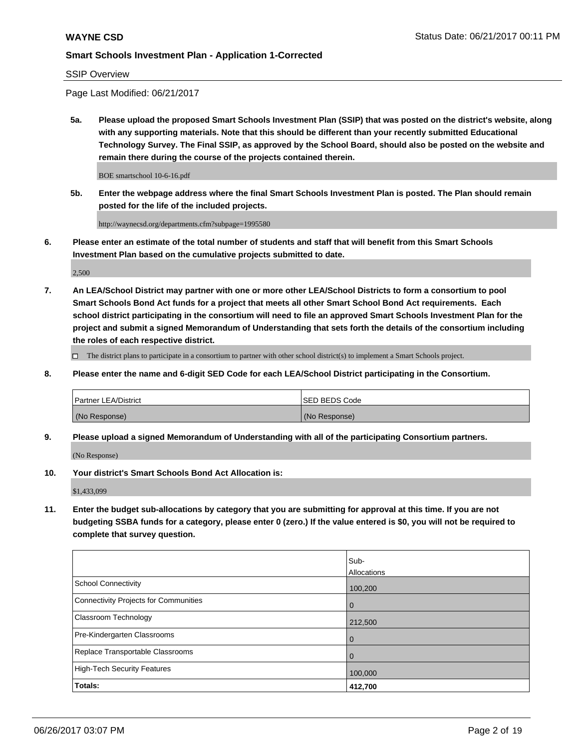SSIP Overview

Page Last Modified: 06/21/2017

**5a. Please upload the proposed Smart Schools Investment Plan (SSIP) that was posted on the district's website, along with any supporting materials. Note that this should be different than your recently submitted Educational Technology Survey. The Final SSIP, as approved by the School Board, should also be posted on the website and remain there during the course of the projects contained therein.**

BOE smartschool 10-6-16.pdf

**5b. Enter the webpage address where the final Smart Schools Investment Plan is posted. The Plan should remain posted for the life of the included projects.**

http://waynecsd.org/departments.cfm?subpage=1995580

**6. Please enter an estimate of the total number of students and staff that will benefit from this Smart Schools Investment Plan based on the cumulative projects submitted to date.**

2,500

**7. An LEA/School District may partner with one or more other LEA/School Districts to form a consortium to pool Smart Schools Bond Act funds for a project that meets all other Smart School Bond Act requirements. Each school district participating in the consortium will need to file an approved Smart Schools Investment Plan for the project and submit a signed Memorandum of Understanding that sets forth the details of the consortium including the roles of each respective district.**

 $\Box$  The district plans to participate in a consortium to partner with other school district(s) to implement a Smart Schools project.

**8. Please enter the name and 6-digit SED Code for each LEA/School District participating in the Consortium.**

| <b>Partner LEA/District</b> | <b>ISED BEDS Code</b> |
|-----------------------------|-----------------------|
| (No Response)               | (No Response)         |

**9. Please upload a signed Memorandum of Understanding with all of the participating Consortium partners.**

(No Response)

**10. Your district's Smart Schools Bond Act Allocation is:**

\$1,433,099

**11. Enter the budget sub-allocations by category that you are submitting for approval at this time. If you are not budgeting SSBA funds for a category, please enter 0 (zero.) If the value entered is \$0, you will not be required to complete that survey question.**

|                                       | Sub-        |
|---------------------------------------|-------------|
|                                       | Allocations |
| <b>School Connectivity</b>            | 100,200     |
| Connectivity Projects for Communities | $\mathbf 0$ |
| <b>Classroom Technology</b>           | 212,500     |
| Pre-Kindergarten Classrooms           | $\mathbf 0$ |
| Replace Transportable Classrooms      | 0           |
| <b>High-Tech Security Features</b>    | 100,000     |
| Totals:                               | 412,700     |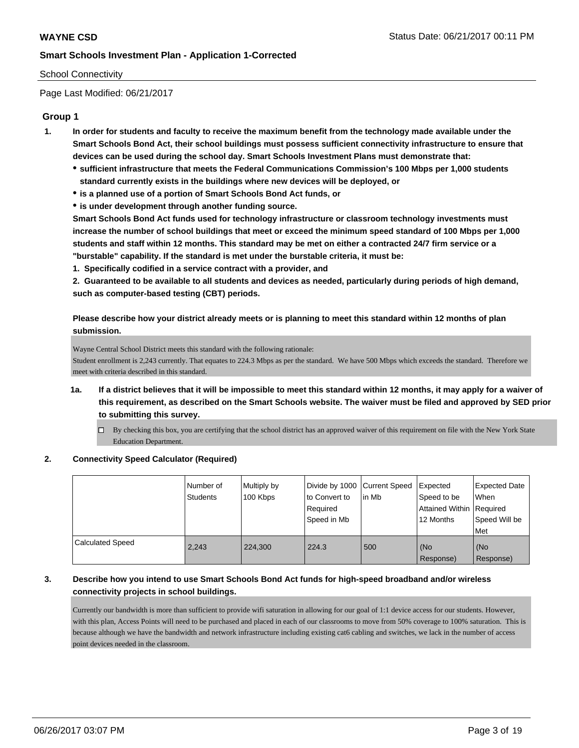### School Connectivity

Page Last Modified: 06/21/2017

# **Group 1**

- **1. In order for students and faculty to receive the maximum benefit from the technology made available under the Smart Schools Bond Act, their school buildings must possess sufficient connectivity infrastructure to ensure that devices can be used during the school day. Smart Schools Investment Plans must demonstrate that:**
	- **sufficient infrastructure that meets the Federal Communications Commission's 100 Mbps per 1,000 students standard currently exists in the buildings where new devices will be deployed, or**
	- **is a planned use of a portion of Smart Schools Bond Act funds, or**
	- **is under development through another funding source.**

**Smart Schools Bond Act funds used for technology infrastructure or classroom technology investments must increase the number of school buildings that meet or exceed the minimum speed standard of 100 Mbps per 1,000 students and staff within 12 months. This standard may be met on either a contracted 24/7 firm service or a "burstable" capability. If the standard is met under the burstable criteria, it must be:**

**1. Specifically codified in a service contract with a provider, and**

**2. Guaranteed to be available to all students and devices as needed, particularly during periods of high demand, such as computer-based testing (CBT) periods.**

**Please describe how your district already meets or is planning to meet this standard within 12 months of plan submission.**

Wayne Central School District meets this standard with the following rationale:

Student enrollment is 2,243 currently. That equates to 224.3 Mbps as per the standard. We have 500 Mbps which exceeds the standard. Therefore we meet with criteria described in this standard.

- **1a. If a district believes that it will be impossible to meet this standard within 12 months, it may apply for a waiver of this requirement, as described on the Smart Schools website. The waiver must be filed and approved by SED prior to submitting this survey.**
	- By checking this box, you are certifying that the school district has an approved waiver of this requirement on file with the New York State Education Department.

### **2. Connectivity Speed Calculator (Required)**

|                         | I Number of<br><b>Students</b> | Multiply by<br>100 Kbps | Divide by 1000   Current Speed<br>to Convert to<br>Required<br>Speed in Mb | lin Mb | Expected<br>Speed to be<br>Attained Within Required<br>12 Months | <b>Expected Date</b><br>When<br>Speed Will be<br>Met |
|-------------------------|--------------------------------|-------------------------|----------------------------------------------------------------------------|--------|------------------------------------------------------------------|------------------------------------------------------|
| <b>Calculated Speed</b> | 2,243                          | 224,300                 | 224.3                                                                      | 500    | (No<br>Response)                                                 | (No<br>Response)                                     |

# **3. Describe how you intend to use Smart Schools Bond Act funds for high-speed broadband and/or wireless connectivity projects in school buildings.**

Currently our bandwidth is more than sufficient to provide wifi saturation in allowing for our goal of 1:1 device access for our students. However, with this plan, Access Points will need to be purchased and placed in each of our classrooms to move from 50% coverage to 100% saturation. This is because although we have the bandwidth and network infrastructure including existing cat6 cabling and switches, we lack in the number of access point devices needed in the classroom.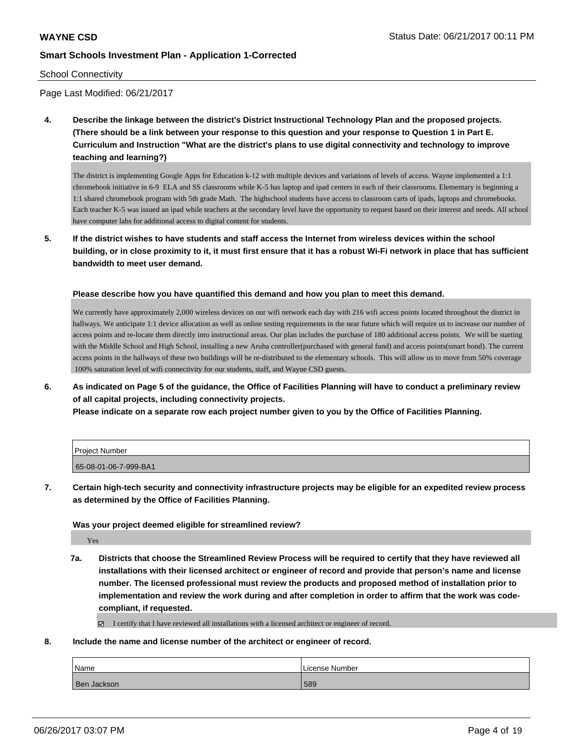### School Connectivity

Page Last Modified: 06/21/2017

**4. Describe the linkage between the district's District Instructional Technology Plan and the proposed projects. (There should be a link between your response to this question and your response to Question 1 in Part E. Curriculum and Instruction "What are the district's plans to use digital connectivity and technology to improve teaching and learning?)**

The district is implementing Google Apps for Education k-12 with multiple devices and variations of levels of access. Wayne implemented a 1:1 chromebook initiative in 6-9 ELA and SS classrooms while K-5 has laptop and ipad centers in each of their classrooms. Elementary is beginning a 1:1 shared chromebook program with 5th grade Math. The highschool students have access to classroom carts of ipads, laptops and chromebooks. Each teacher K-5 was issued an ipad while teachers at the secondary level have the opportunity to request based on their interest and needs. All school have computer labs for additional access to digital content for students.

**5. If the district wishes to have students and staff access the Internet from wireless devices within the school building, or in close proximity to it, it must first ensure that it has a robust Wi-Fi network in place that has sufficient bandwidth to meet user demand.**

**Please describe how you have quantified this demand and how you plan to meet this demand.**

We currently have approximately 2,000 wireless devices on our wifi network each day with 216 wifi access points located throughout the district in hallways. We anticipate 1:1 device allocation as well as online testing requirements in the near future which will require us to increase our number of access points and re-locate them directly into instructional areas. Our plan includes the purchase of 180 additional access points. We will be starting with the Middle School and High School, installing a new Aruba controller(purchased with general fund) and access points(smart bond). The current access points in the hallways of these two buildings will be re-distributed to the elementary schools. This will allow us to move from 50% coverage 100% saturation level of wifi connectivity for our students, staff, and Wayne CSD guests.

**6. As indicated on Page 5 of the guidance, the Office of Facilities Planning will have to conduct a preliminary review of all capital projects, including connectivity projects.**

**Please indicate on a separate row each project number given to you by the Office of Facilities Planning.**

| Project Number        |  |
|-----------------------|--|
| 65-08-01-06-7-999-BA1 |  |

**7. Certain high-tech security and connectivity infrastructure projects may be eligible for an expedited review process as determined by the Office of Facilities Planning.**

**Was your project deemed eligible for streamlined review?**

Yes

**7a. Districts that choose the Streamlined Review Process will be required to certify that they have reviewed all installations with their licensed architect or engineer of record and provide that person's name and license number. The licensed professional must review the products and proposed method of installation prior to implementation and review the work during and after completion in order to affirm that the work was codecompliant, if requested.**

I certify that I have reviewed all installations with a licensed architect or engineer of record.

**8. Include the name and license number of the architect or engineer of record.**

| Name        | License Number |
|-------------|----------------|
| Ben Jackson | 589            |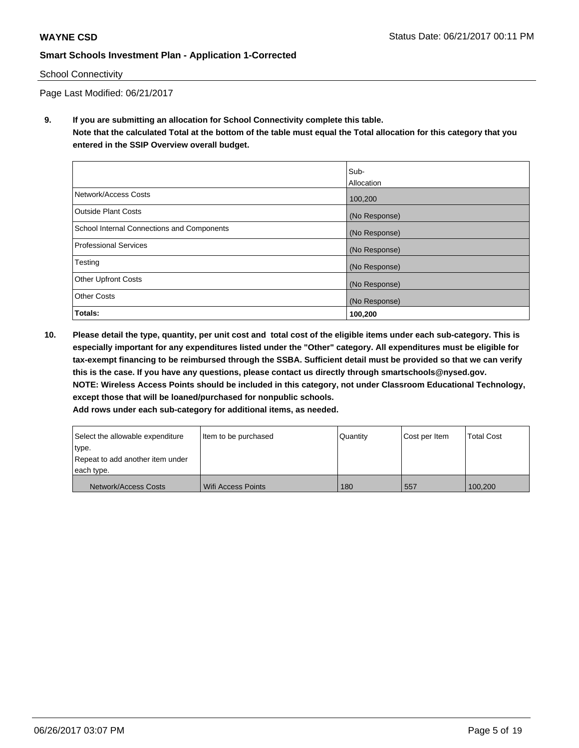### School Connectivity

Page Last Modified: 06/21/2017

**9. If you are submitting an allocation for School Connectivity complete this table. Note that the calculated Total at the bottom of the table must equal the Total allocation for this category that you entered in the SSIP Overview overall budget.** 

|                                            | Sub-          |
|--------------------------------------------|---------------|
|                                            | Allocation    |
| Network/Access Costs                       | 100,200       |
| <b>Outside Plant Costs</b>                 | (No Response) |
| School Internal Connections and Components | (No Response) |
| <b>Professional Services</b>               | (No Response) |
| Testing                                    | (No Response) |
| <b>Other Upfront Costs</b>                 | (No Response) |
| <b>Other Costs</b>                         | (No Response) |
| Totals:                                    | 100,200       |

**10. Please detail the type, quantity, per unit cost and total cost of the eligible items under each sub-category. This is especially important for any expenditures listed under the "Other" category. All expenditures must be eligible for tax-exempt financing to be reimbursed through the SSBA. Sufficient detail must be provided so that we can verify this is the case. If you have any questions, please contact us directly through smartschools@nysed.gov. NOTE: Wireless Access Points should be included in this category, not under Classroom Educational Technology, except those that will be loaned/purchased for nonpublic schools.**

| Select the allowable expenditure | Item to be purchased | Quantity | Cost per Item | <b>Total Cost</b> |
|----------------------------------|----------------------|----------|---------------|-------------------|
| type.                            |                      |          |               |                   |
| Repeat to add another item under |                      |          |               |                   |
| each type.                       |                      |          |               |                   |
| Network/Access Costs             | Wifi Access Points   | 180      | 557           | 100.200           |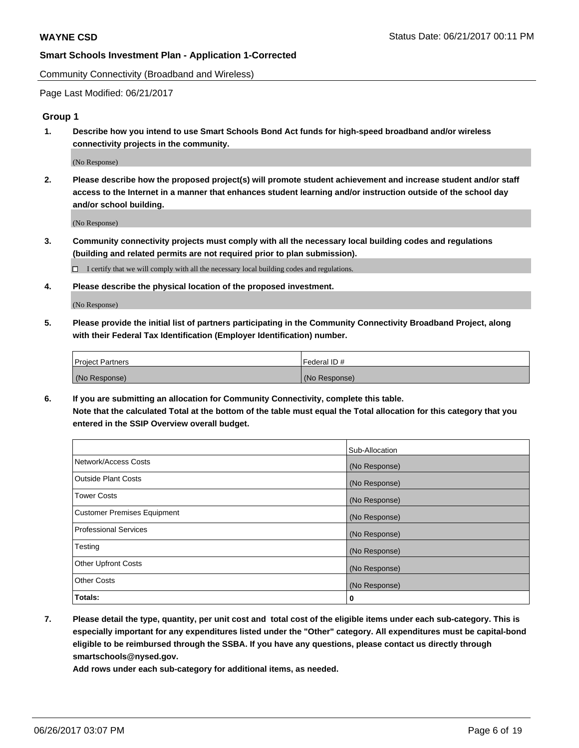Community Connectivity (Broadband and Wireless)

Page Last Modified: 06/21/2017

# **Group 1**

**1. Describe how you intend to use Smart Schools Bond Act funds for high-speed broadband and/or wireless connectivity projects in the community.**

(No Response)

**2. Please describe how the proposed project(s) will promote student achievement and increase student and/or staff access to the Internet in a manner that enhances student learning and/or instruction outside of the school day and/or school building.**

(No Response)

**3. Community connectivity projects must comply with all the necessary local building codes and regulations (building and related permits are not required prior to plan submission).**

 $\Box$  I certify that we will comply with all the necessary local building codes and regulations.

**4. Please describe the physical location of the proposed investment.**

(No Response)

**5. Please provide the initial list of partners participating in the Community Connectivity Broadband Project, along with their Federal Tax Identification (Employer Identification) number.**

| <b>Project Partners</b> | Federal ID#   |
|-------------------------|---------------|
| (No Response)           | (No Response) |

**6. If you are submitting an allocation for Community Connectivity, complete this table. Note that the calculated Total at the bottom of the table must equal the Total allocation for this category that you entered in the SSIP Overview overall budget.**

|                                    | Sub-Allocation |
|------------------------------------|----------------|
| Network/Access Costs               | (No Response)  |
| Outside Plant Costs                | (No Response)  |
| <b>Tower Costs</b>                 | (No Response)  |
| <b>Customer Premises Equipment</b> | (No Response)  |
| <b>Professional Services</b>       | (No Response)  |
| Testing                            | (No Response)  |
| <b>Other Upfront Costs</b>         | (No Response)  |
| <b>Other Costs</b>                 | (No Response)  |
| Totals:                            | 0              |

**7. Please detail the type, quantity, per unit cost and total cost of the eligible items under each sub-category. This is especially important for any expenditures listed under the "Other" category. All expenditures must be capital-bond eligible to be reimbursed through the SSBA. If you have any questions, please contact us directly through smartschools@nysed.gov.**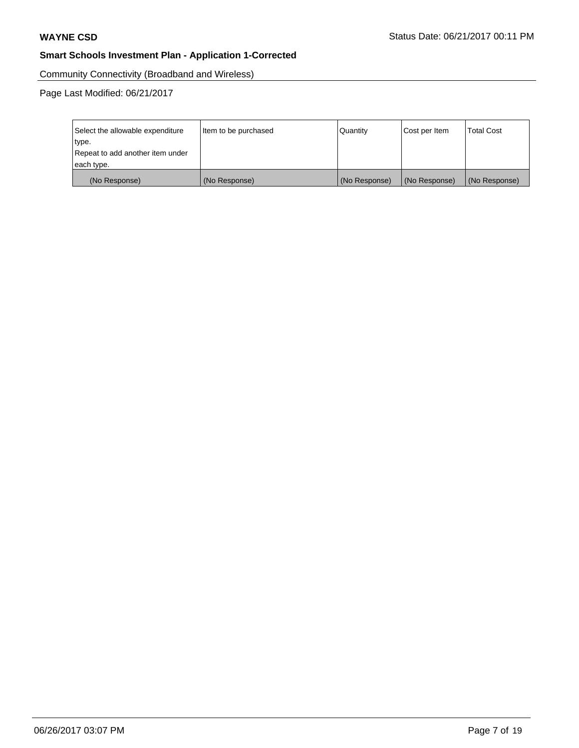Community Connectivity (Broadband and Wireless)

| Select the allowable expenditure | Item to be purchased | <b>Quantity</b> | Cost per Item | <b>Total Cost</b> |
|----------------------------------|----------------------|-----------------|---------------|-------------------|
| type.                            |                      |                 |               |                   |
| Repeat to add another item under |                      |                 |               |                   |
| each type.                       |                      |                 |               |                   |
| (No Response)                    | (No Response)        | (No Response)   | (No Response) | (No Response)     |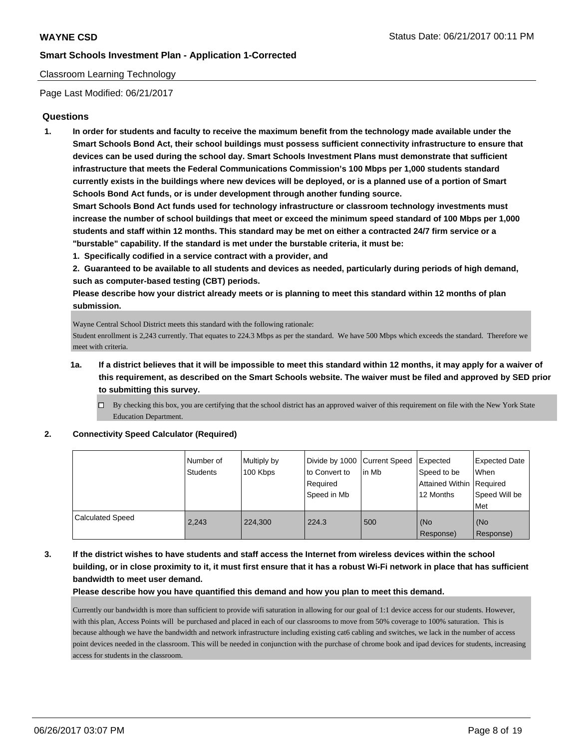### Classroom Learning Technology

Page Last Modified: 06/21/2017

## **Questions**

**1. In order for students and faculty to receive the maximum benefit from the technology made available under the Smart Schools Bond Act, their school buildings must possess sufficient connectivity infrastructure to ensure that devices can be used during the school day. Smart Schools Investment Plans must demonstrate that sufficient infrastructure that meets the Federal Communications Commission's 100 Mbps per 1,000 students standard currently exists in the buildings where new devices will be deployed, or is a planned use of a portion of Smart Schools Bond Act funds, or is under development through another funding source.**

**Smart Schools Bond Act funds used for technology infrastructure or classroom technology investments must increase the number of school buildings that meet or exceed the minimum speed standard of 100 Mbps per 1,000 students and staff within 12 months. This standard may be met on either a contracted 24/7 firm service or a "burstable" capability. If the standard is met under the burstable criteria, it must be:**

**1. Specifically codified in a service contract with a provider, and**

**2. Guaranteed to be available to all students and devices as needed, particularly during periods of high demand, such as computer-based testing (CBT) periods.**

**Please describe how your district already meets or is planning to meet this standard within 12 months of plan submission.**

Wayne Central School District meets this standard with the following rationale:

Student enrollment is 2,243 currently. That equates to 224.3 Mbps as per the standard. We have 500 Mbps which exceeds the standard. Therefore we meet with criteria.

- **1a. If a district believes that it will be impossible to meet this standard within 12 months, it may apply for a waiver of this requirement, as described on the Smart Schools website. The waiver must be filed and approved by SED prior to submitting this survey.**
	- $\Box$  By checking this box, you are certifying that the school district has an approved waiver of this requirement on file with the New York State Education Department.

**2. Connectivity Speed Calculator (Required)**

|                         | Number of<br>Students | Multiply by<br>100 Kbps | Divide by 1000 Current Speed<br>to Convert to<br>Required<br>Speed in Mb | lin Mb | Expected<br>Speed to be<br>Attained Within Required<br>12 Months | <b>Expected Date</b><br><b>When</b><br>Speed Will be<br>Met |
|-------------------------|-----------------------|-------------------------|--------------------------------------------------------------------------|--------|------------------------------------------------------------------|-------------------------------------------------------------|
| <b>Calculated Speed</b> | 2.243                 | 224,300                 | 224.3                                                                    | 500    | (No<br>Response)                                                 | l (No<br>Response)                                          |

**3. If the district wishes to have students and staff access the Internet from wireless devices within the school building, or in close proximity to it, it must first ensure that it has a robust Wi-Fi network in place that has sufficient bandwidth to meet user demand.**

**Please describe how you have quantified this demand and how you plan to meet this demand.**

Currently our bandwidth is more than sufficient to provide wifi saturation in allowing for our goal of 1:1 device access for our students. However, with this plan, Access Points will be purchased and placed in each of our classrooms to move from 50% coverage to 100% saturation. This is because although we have the bandwidth and network infrastructure including existing cat6 cabling and switches, we lack in the number of access point devices needed in the classroom. This will be needed in conjunction with the purchase of chrome book and ipad devices for students, increasing access for students in the classroom.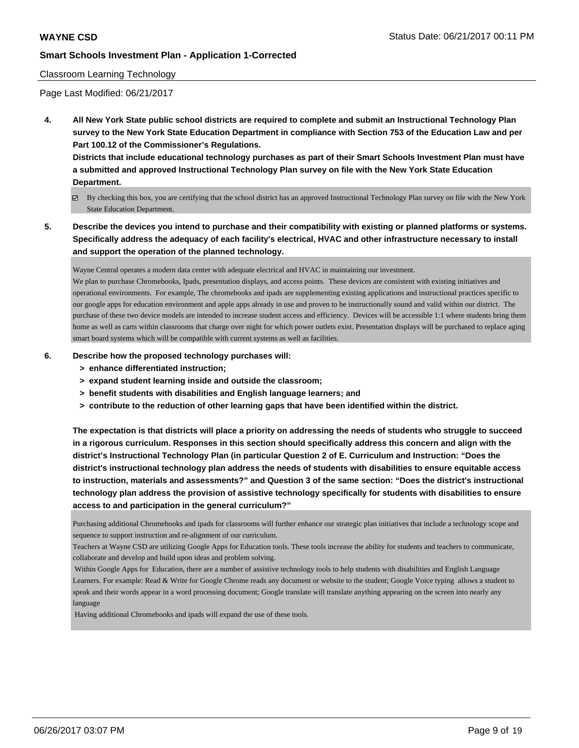### Classroom Learning Technology

Page Last Modified: 06/21/2017

**4. All New York State public school districts are required to complete and submit an Instructional Technology Plan survey to the New York State Education Department in compliance with Section 753 of the Education Law and per Part 100.12 of the Commissioner's Regulations.**

**Districts that include educational technology purchases as part of their Smart Schools Investment Plan must have a submitted and approved Instructional Technology Plan survey on file with the New York State Education Department.**

- By checking this box, you are certifying that the school district has an approved Instructional Technology Plan survey on file with the New York State Education Department.
- **5. Describe the devices you intend to purchase and their compatibility with existing or planned platforms or systems. Specifically address the adequacy of each facility's electrical, HVAC and other infrastructure necessary to install and support the operation of the planned technology.**

Wayne Central operates a modern data center with adequate electrical and HVAC in maintaining our investment.

We plan to purchase Chromebooks, Ipads, presentation displays, and access points. These devices are consistent with existing initiatives and operational environments. For example, The chromebooks and ipads are supplementing existing applications and instructional practices specific to our google apps for education environment and apple apps already in use and proven to be instructionally sound and valid within our district. The purchase of these two device models are intended to increase student access and efficiency. Devices will be accessible 1:1 where students bring them home as well as carts within classrooms that charge over night for which power outlets exist. Presentation displays will be purchased to replace aging smart board systems which will be compatible with current systems as well as facilities.

### **6. Describe how the proposed technology purchases will:**

- **> enhance differentiated instruction;**
- **> expand student learning inside and outside the classroom;**
- **> benefit students with disabilities and English language learners; and**
- **> contribute to the reduction of other learning gaps that have been identified within the district.**

**The expectation is that districts will place a priority on addressing the needs of students who struggle to succeed in a rigorous curriculum. Responses in this section should specifically address this concern and align with the district's Instructional Technology Plan (in particular Question 2 of E. Curriculum and Instruction: "Does the district's instructional technology plan address the needs of students with disabilities to ensure equitable access to instruction, materials and assessments?" and Question 3 of the same section: "Does the district's instructional technology plan address the provision of assistive technology specifically for students with disabilities to ensure access to and participation in the general curriculum?"**

Purchasing additional Chromebooks and ipads for classrooms will further enhance our strategic plan initiatives that include a technology scope and sequence to support instruction and re-alignment of our curriculum.

Teachers at Wayne CSD are utilizing Google Apps for Education tools. These tools increase the ability for students and teachers to communicate, collaborate and develop and build upon ideas and problem solving.

 Within Google Apps for Education, there are a number of assistive technology tools to help students with disabilities and English Language Learners. For example: Read & Write for Google Chrome reads any document or website to the student; Google Voice typing allows a student to speak and their words appear in a word processing document; Google translate will translate anything appearing on the screen into nearly any language

Having additional Chromebooks and ipads will expand the use of these tools.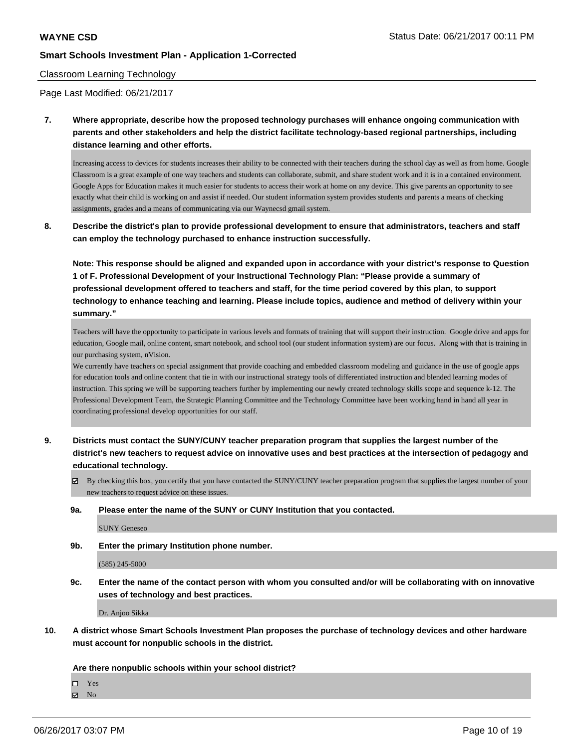#### Classroom Learning Technology

Page Last Modified: 06/21/2017

**7. Where appropriate, describe how the proposed technology purchases will enhance ongoing communication with parents and other stakeholders and help the district facilitate technology-based regional partnerships, including distance learning and other efforts.**

Increasing access to devices for students increases their ability to be connected with their teachers during the school day as well as from home. Google Classroom is a great example of one way teachers and students can collaborate, submit, and share student work and it is in a contained environment. Google Apps for Education makes it much easier for students to access their work at home on any device. This give parents an opportunity to see exactly what their child is working on and assist if needed. Our student information system provides students and parents a means of checking assignments, grades and a means of communicating via our Waynecsd gmail system.

**8. Describe the district's plan to provide professional development to ensure that administrators, teachers and staff can employ the technology purchased to enhance instruction successfully.**

**Note: This response should be aligned and expanded upon in accordance with your district's response to Question 1 of F. Professional Development of your Instructional Technology Plan: "Please provide a summary of professional development offered to teachers and staff, for the time period covered by this plan, to support technology to enhance teaching and learning. Please include topics, audience and method of delivery within your summary."**

Teachers will have the opportunity to participate in various levels and formats of training that will support their instruction. Google drive and apps for education, Google mail, online content, smart notebook, and school tool (our student information system) are our focus. Along with that is training in our purchasing system, nVision.

We currently have teachers on special assignment that provide coaching and embedded classroom modeling and guidance in the use of google apps for education tools and online content that tie in with our instructional strategy tools of differentiated instruction and blended learning modes of instruction. This spring we will be supporting teachers further by implementing our newly created technology skills scope and sequence k-12. The Professional Development Team, the Strategic Planning Committee and the Technology Committee have been working hand in hand all year in coordinating professional develop opportunities for our staff.

- **9. Districts must contact the SUNY/CUNY teacher preparation program that supplies the largest number of the district's new teachers to request advice on innovative uses and best practices at the intersection of pedagogy and educational technology.**
	- $\boxtimes$  By checking this box, you certify that you have contacted the SUNY/CUNY teacher preparation program that supplies the largest number of your new teachers to request advice on these issues.
	- **9a. Please enter the name of the SUNY or CUNY Institution that you contacted.**

SUNY Geneseo

**9b. Enter the primary Institution phone number.**

(585) 245-5000

**9c. Enter the name of the contact person with whom you consulted and/or will be collaborating with on innovative uses of technology and best practices.**

Dr. Anjoo Sikka

**10. A district whose Smart Schools Investment Plan proposes the purchase of technology devices and other hardware must account for nonpublic schools in the district.**

#### **Are there nonpublic schools within your school district?**

□ Yes

**Ø** No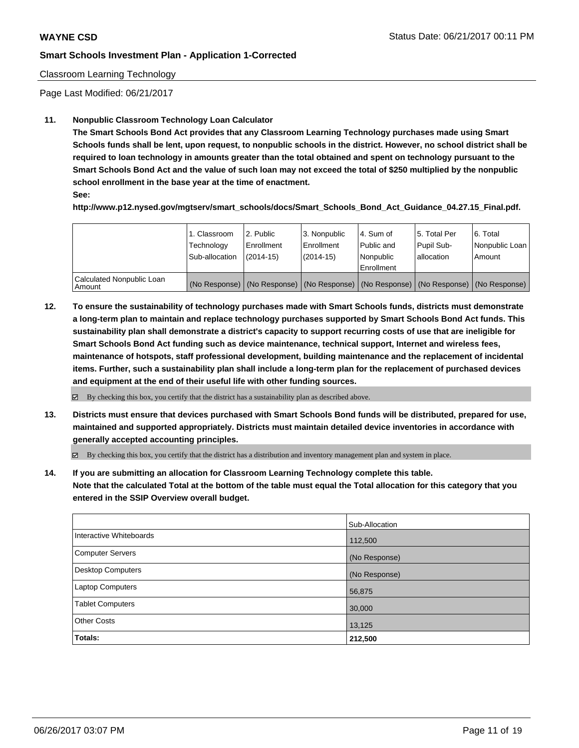### Classroom Learning Technology

Page Last Modified: 06/21/2017

### **11. Nonpublic Classroom Technology Loan Calculator**

**The Smart Schools Bond Act provides that any Classroom Learning Technology purchases made using Smart Schools funds shall be lent, upon request, to nonpublic schools in the district. However, no school district shall be required to loan technology in amounts greater than the total obtained and spent on technology pursuant to the Smart Schools Bond Act and the value of such loan may not exceed the total of \$250 multiplied by the nonpublic school enrollment in the base year at the time of enactment.**

**See:**

**http://www.p12.nysed.gov/mgtserv/smart\_schools/docs/Smart\_Schools\_Bond\_Act\_Guidance\_04.27.15\_Final.pdf.**

|                                       | 1. Classroom<br>Technology<br>Sub-allocation | 2. Public<br>l Enrollment<br>$(2014-15)$ | 3. Nonpublic<br>Enrollment<br>$(2014-15)$ | l 4. Sum of<br>Public and<br>l Nonpublic<br>l Enrollment | 15. Total Per<br>Pupil Sub-<br>lallocation | 6. Total<br>Nonpublic Loan<br>Amount                                                          |
|---------------------------------------|----------------------------------------------|------------------------------------------|-------------------------------------------|----------------------------------------------------------|--------------------------------------------|-----------------------------------------------------------------------------------------------|
| Calculated Nonpublic Loan<br>l Amount |                                              |                                          |                                           |                                                          |                                            | (No Response)   (No Response)   (No Response)   (No Response)   (No Response)   (No Response) |

**12. To ensure the sustainability of technology purchases made with Smart Schools funds, districts must demonstrate a long-term plan to maintain and replace technology purchases supported by Smart Schools Bond Act funds. This sustainability plan shall demonstrate a district's capacity to support recurring costs of use that are ineligible for Smart Schools Bond Act funding such as device maintenance, technical support, Internet and wireless fees, maintenance of hotspots, staff professional development, building maintenance and the replacement of incidental items. Further, such a sustainability plan shall include a long-term plan for the replacement of purchased devices and equipment at the end of their useful life with other funding sources.**

 $\boxtimes$  By checking this box, you certify that the district has a sustainability plan as described above.

**13. Districts must ensure that devices purchased with Smart Schools Bond funds will be distributed, prepared for use, maintained and supported appropriately. Districts must maintain detailed device inventories in accordance with generally accepted accounting principles.**

By checking this box, you certify that the district has a distribution and inventory management plan and system in place.

**14. If you are submitting an allocation for Classroom Learning Technology complete this table. Note that the calculated Total at the bottom of the table must equal the Total allocation for this category that you entered in the SSIP Overview overall budget.**

|                          | Sub-Allocation |
|--------------------------|----------------|
| Interactive Whiteboards  | 112,500        |
| Computer Servers         | (No Response)  |
| <b>Desktop Computers</b> | (No Response)  |
| <b>Laptop Computers</b>  | 56,875         |
| <b>Tablet Computers</b>  | 30,000         |
| <b>Other Costs</b>       | 13,125         |
| Totals:                  | 212,500        |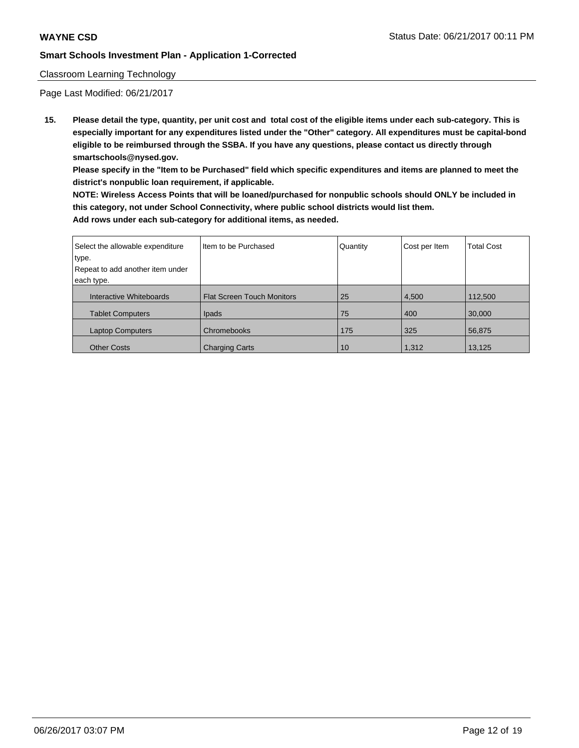### Classroom Learning Technology

Page Last Modified: 06/21/2017

**15. Please detail the type, quantity, per unit cost and total cost of the eligible items under each sub-category. This is especially important for any expenditures listed under the "Other" category. All expenditures must be capital-bond eligible to be reimbursed through the SSBA. If you have any questions, please contact us directly through smartschools@nysed.gov.**

**Please specify in the "Item to be Purchased" field which specific expenditures and items are planned to meet the district's nonpublic loan requirement, if applicable.**

**NOTE: Wireless Access Points that will be loaned/purchased for nonpublic schools should ONLY be included in this category, not under School Connectivity, where public school districts would list them. Add rows under each sub-category for additional items, as needed.**

| Select the allowable expenditure | I Item to be Purchased            | Quantity | Cost per Item | <b>Total Cost</b> |
|----------------------------------|-----------------------------------|----------|---------------|-------------------|
| type.                            |                                   |          |               |                   |
| Repeat to add another item under |                                   |          |               |                   |
| each type.                       |                                   |          |               |                   |
| Interactive Whiteboards          | <b>Flat Screen Touch Monitors</b> | 25       | 4,500         | 112,500           |
| <b>Tablet Computers</b>          | Ipads                             | 75       | 400           | 30,000            |
| <b>Laptop Computers</b>          | Chromebooks                       | 175      | 325           | 56,875            |
| <b>Other Costs</b>               | <b>Charging Carts</b>             | 10       | 1,312         | 13,125            |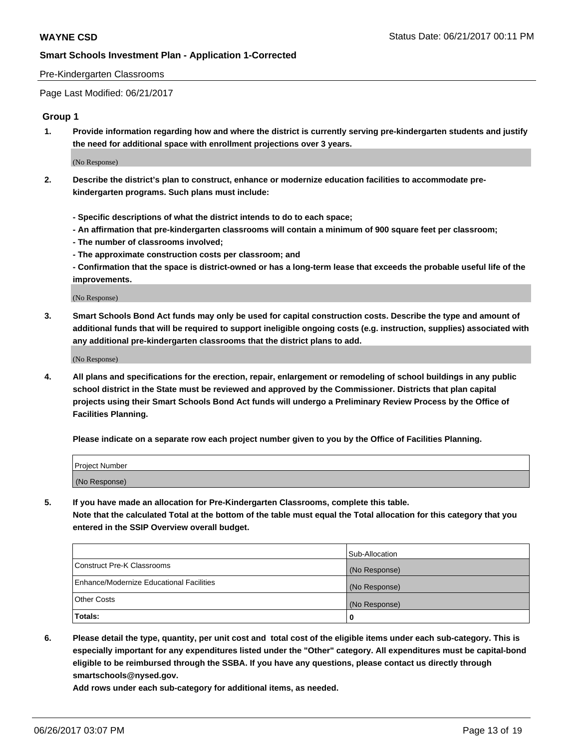### Pre-Kindergarten Classrooms

Page Last Modified: 06/21/2017

# **Group 1**

**1. Provide information regarding how and where the district is currently serving pre-kindergarten students and justify the need for additional space with enrollment projections over 3 years.**

(No Response)

- **2. Describe the district's plan to construct, enhance or modernize education facilities to accommodate prekindergarten programs. Such plans must include:**
	- **Specific descriptions of what the district intends to do to each space;**
	- **An affirmation that pre-kindergarten classrooms will contain a minimum of 900 square feet per classroom;**
	- **The number of classrooms involved;**
	- **The approximate construction costs per classroom; and**
	- **Confirmation that the space is district-owned or has a long-term lease that exceeds the probable useful life of the improvements.**

(No Response)

**3. Smart Schools Bond Act funds may only be used for capital construction costs. Describe the type and amount of additional funds that will be required to support ineligible ongoing costs (e.g. instruction, supplies) associated with any additional pre-kindergarten classrooms that the district plans to add.**

(No Response)

**4. All plans and specifications for the erection, repair, enlargement or remodeling of school buildings in any public school district in the State must be reviewed and approved by the Commissioner. Districts that plan capital projects using their Smart Schools Bond Act funds will undergo a Preliminary Review Process by the Office of Facilities Planning.**

**Please indicate on a separate row each project number given to you by the Office of Facilities Planning.**

| Project Number |  |
|----------------|--|
| (No Response)  |  |

**5. If you have made an allocation for Pre-Kindergarten Classrooms, complete this table. Note that the calculated Total at the bottom of the table must equal the Total allocation for this category that you entered in the SSIP Overview overall budget.**

| Totals:                                  | 0              |
|------------------------------------------|----------------|
| Other Costs                              | (No Response)  |
| Enhance/Modernize Educational Facilities | (No Response)  |
| Construct Pre-K Classrooms               | (No Response)  |
|                                          | Sub-Allocation |

**6. Please detail the type, quantity, per unit cost and total cost of the eligible items under each sub-category. This is especially important for any expenditures listed under the "Other" category. All expenditures must be capital-bond eligible to be reimbursed through the SSBA. If you have any questions, please contact us directly through smartschools@nysed.gov.**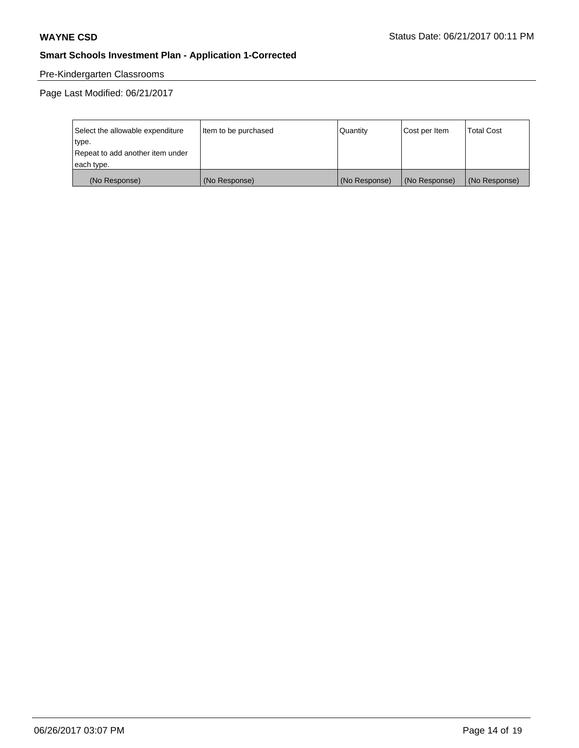# Pre-Kindergarten Classrooms

| Select the allowable expenditure | Item to be purchased | Quantity      | Cost per Item | <b>Total Cost</b> |
|----------------------------------|----------------------|---------------|---------------|-------------------|
| type.                            |                      |               |               |                   |
| Repeat to add another item under |                      |               |               |                   |
| each type.                       |                      |               |               |                   |
| (No Response)                    | (No Response)        | (No Response) | (No Response) | (No Response)     |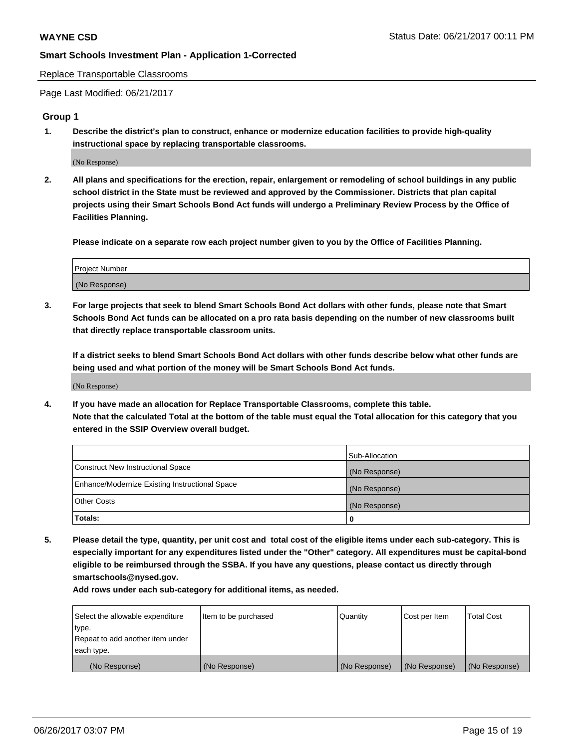Replace Transportable Classrooms

Page Last Modified: 06/21/2017

### **Group 1**

**1. Describe the district's plan to construct, enhance or modernize education facilities to provide high-quality instructional space by replacing transportable classrooms.**

(No Response)

**2. All plans and specifications for the erection, repair, enlargement or remodeling of school buildings in any public school district in the State must be reviewed and approved by the Commissioner. Districts that plan capital projects using their Smart Schools Bond Act funds will undergo a Preliminary Review Process by the Office of Facilities Planning.**

**Please indicate on a separate row each project number given to you by the Office of Facilities Planning.**

| Project Number |  |
|----------------|--|
| (No Response)  |  |

**3. For large projects that seek to blend Smart Schools Bond Act dollars with other funds, please note that Smart Schools Bond Act funds can be allocated on a pro rata basis depending on the number of new classrooms built that directly replace transportable classroom units.**

**If a district seeks to blend Smart Schools Bond Act dollars with other funds describe below what other funds are being used and what portion of the money will be Smart Schools Bond Act funds.**

(No Response)

**4. If you have made an allocation for Replace Transportable Classrooms, complete this table. Note that the calculated Total at the bottom of the table must equal the Total allocation for this category that you entered in the SSIP Overview overall budget.**

|                                                | Sub-Allocation |
|------------------------------------------------|----------------|
| Construct New Instructional Space              | (No Response)  |
| Enhance/Modernize Existing Instructional Space | (No Response)  |
| Other Costs                                    | (No Response)  |
| Totals:                                        | 0              |

**5. Please detail the type, quantity, per unit cost and total cost of the eligible items under each sub-category. This is especially important for any expenditures listed under the "Other" category. All expenditures must be capital-bond eligible to be reimbursed through the SSBA. If you have any questions, please contact us directly through smartschools@nysed.gov.**

| Select the allowable expenditure | Item to be purchased | Quantity      | Cost per Item | <b>Total Cost</b> |
|----------------------------------|----------------------|---------------|---------------|-------------------|
| type.                            |                      |               |               |                   |
| Repeat to add another item under |                      |               |               |                   |
| each type.                       |                      |               |               |                   |
| (No Response)                    | (No Response)        | (No Response) | (No Response) | (No Response)     |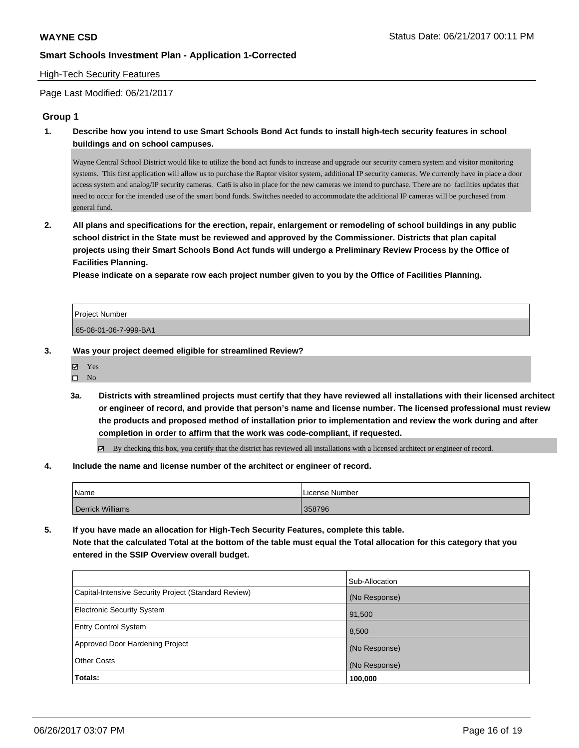### High-Tech Security Features

Page Last Modified: 06/21/2017

## **Group 1**

**1. Describe how you intend to use Smart Schools Bond Act funds to install high-tech security features in school buildings and on school campuses.**

Wayne Central School District would like to utilize the bond act funds to increase and upgrade our security camera system and visitor monitoring systems. This first application will allow us to purchase the Raptor visitor system, additional IP security cameras. We currently have in place a door access system and analog/IP security cameras. Cat6 is also in place for the new cameras we intend to purchase. There are no facilities updates that need to occur for the intended use of the smart bond funds. Switches needed to accommodate the additional IP cameras will be purchased from general fund.

**2. All plans and specifications for the erection, repair, enlargement or remodeling of school buildings in any public school district in the State must be reviewed and approved by the Commissioner. Districts that plan capital projects using their Smart Schools Bond Act funds will undergo a Preliminary Review Process by the Office of Facilities Planning.** 

**Please indicate on a separate row each project number given to you by the Office of Facilities Planning.**

| Project Number        |  |
|-----------------------|--|
| 65-08-01-06-7-999-BA1 |  |

**3. Was your project deemed eligible for streamlined Review?**

Yes  $\square$  No

- **3a. Districts with streamlined projects must certify that they have reviewed all installations with their licensed architect or engineer of record, and provide that person's name and license number. The licensed professional must review the products and proposed method of installation prior to implementation and review the work during and after completion in order to affirm that the work was code-compliant, if requested.**
	- $\boxtimes$  By checking this box, you certify that the district has reviewed all installations with a licensed architect or engineer of record.
- **4. Include the name and license number of the architect or engineer of record.**

| Name                    | License Number |
|-------------------------|----------------|
| <b>Derrick Williams</b> | 358796         |

**5. If you have made an allocation for High-Tech Security Features, complete this table. Note that the calculated Total at the bottom of the table must equal the Total allocation for this category that you**

**entered in the SSIP Overview overall budget.**

|                                                      | Sub-Allocation |
|------------------------------------------------------|----------------|
| Capital-Intensive Security Project (Standard Review) | (No Response)  |
| <b>Electronic Security System</b>                    | 91,500         |
| <b>Entry Control System</b>                          | 8,500          |
| Approved Door Hardening Project                      | (No Response)  |
| <b>Other Costs</b>                                   | (No Response)  |
| Totals:                                              | 100,000        |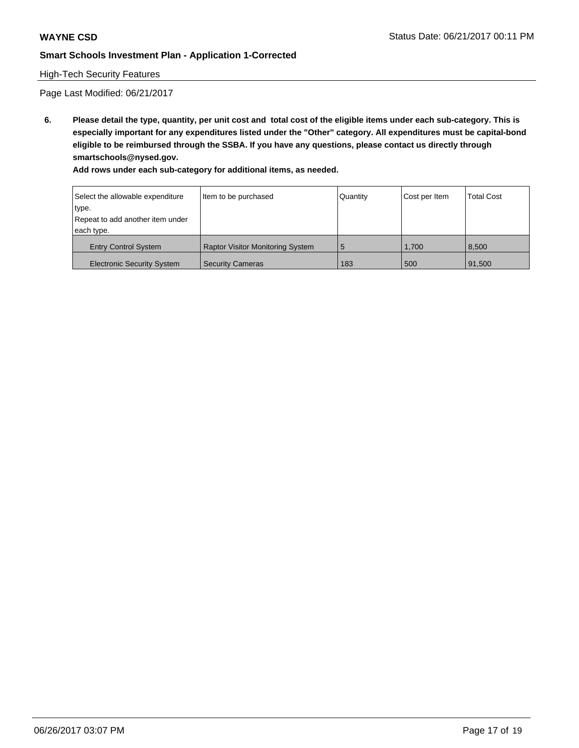## High-Tech Security Features

Page Last Modified: 06/21/2017

**6. Please detail the type, quantity, per unit cost and total cost of the eligible items under each sub-category. This is especially important for any expenditures listed under the "Other" category. All expenditures must be capital-bond eligible to be reimbursed through the SSBA. If you have any questions, please contact us directly through smartschools@nysed.gov.**

| Select the allowable expenditure  | Item to be purchased                    | Quantity | Cost per Item | <b>Total Cost</b> |
|-----------------------------------|-----------------------------------------|----------|---------------|-------------------|
| type.                             |                                         |          |               |                   |
| Repeat to add another item under  |                                         |          |               |                   |
| each type.                        |                                         |          |               |                   |
| <b>Entry Control System</b>       | <b>Raptor Visitor Monitoring System</b> | 5        | 1.700         | 8.500             |
| <b>Electronic Security System</b> | <b>Security Cameras</b>                 | 183      | 500           | 91,500            |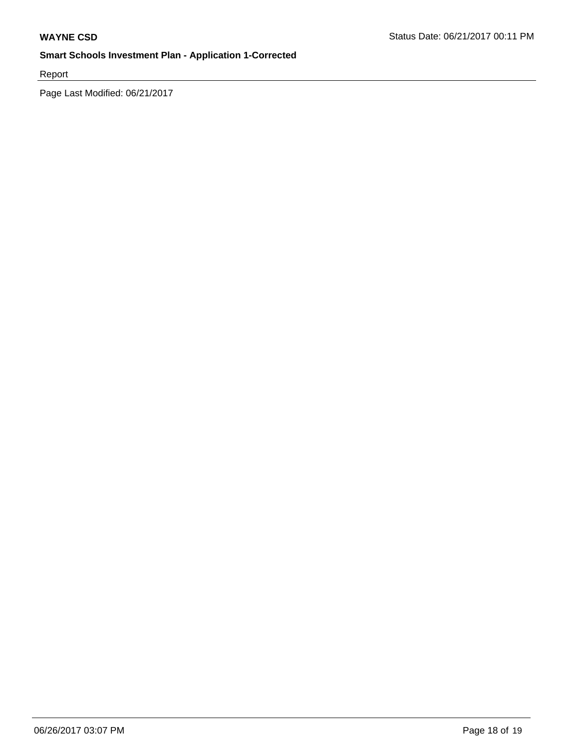Report